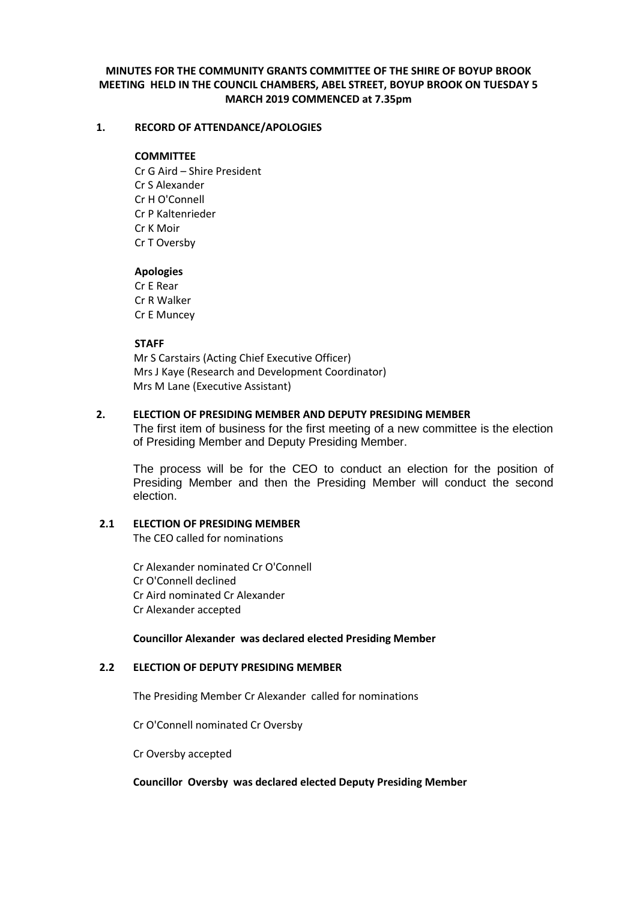# **MINUTES FOR THE COMMUNITY GRANTS COMMITTEE OF THE SHIRE OF BOYUP BROOK MEETING HELD IN THE COUNCIL CHAMBERS, ABEL STREET, BOYUP BROOK ON TUESDAY 5 MARCH 2019 COMMENCED at 7.35pm**

# **1. RECORD OF ATTENDANCE/APOLOGIES**

# **COMMITTEE**

Cr G Aird – Shire President Cr S Alexander Cr H O'Connell Cr P Kaltenrieder Cr K Moir Cr T Oversby

# **Apologies**

Cr E Rear Cr R Walker Cr E Muncey

# **STAFF**

 Mr S Carstairs (Acting Chief Executive Officer) Mrs J Kaye (Research and Development Coordinator) Mrs M Lane (Executive Assistant)

# **2. ELECTION OF PRESIDING MEMBER AND DEPUTY PRESIDING MEMBER**

The first item of business for the first meeting of a new committee is the election of Presiding Member and Deputy Presiding Member.

The process will be for the CEO to conduct an election for the position of Presiding Member and then the Presiding Member will conduct the second election.

# **2.1 ELECTION OF PRESIDING MEMBER**

The CEO called for nominations

Cr Alexander nominated Cr O'Connell Cr O'Connell declined Cr Aird nominated Cr Alexander Cr Alexander accepted

# **Councillor Alexander was declared elected Presiding Member**

# **2.2 ELECTION OF DEPUTY PRESIDING MEMBER**

The Presiding Member Cr Alexander called for nominations

Cr O'Connell nominated Cr Oversby

Cr Oversby accepted

# **Councillor Oversby was declared elected Deputy Presiding Member**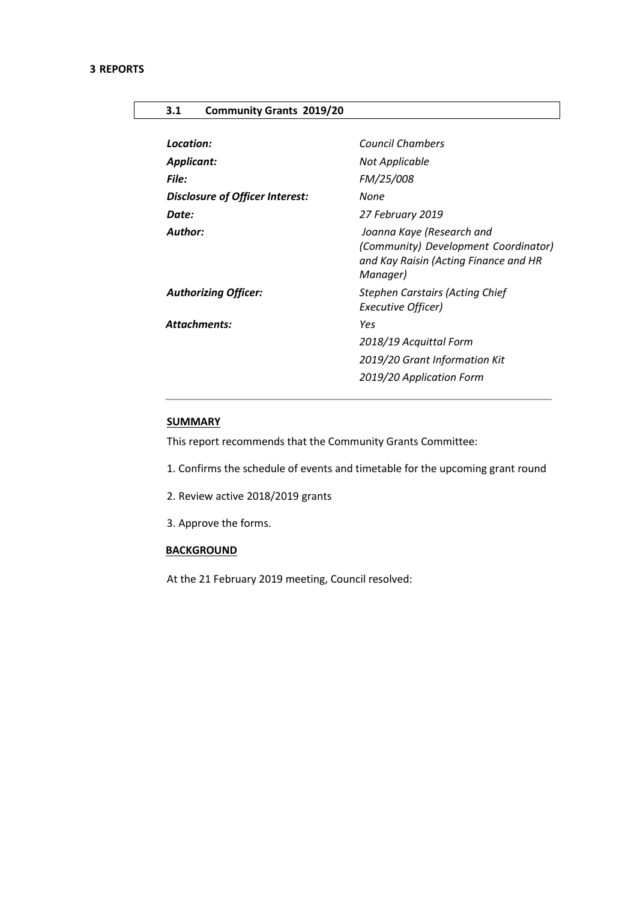# **3.1 Community Grants 2019/20**

| Location:                       | <b>Council Chambers</b>                                                                                                |
|---------------------------------|------------------------------------------------------------------------------------------------------------------------|
| <b>Applicant:</b>               | Not Applicable                                                                                                         |
| <b>File:</b>                    | FM/25/008                                                                                                              |
| Disclosure of Officer Interest: | None                                                                                                                   |
| Date:                           | 27 February 2019                                                                                                       |
| <b>Author:</b>                  | Joanna Kaye (Research and<br>(Community) Development Coordinator)<br>and Kay Raisin (Acting Finance and HR<br>Manager) |
| <b>Authorizing Officer:</b>     | <b>Stephen Carstairs (Acting Chief</b><br>Executive Officer)                                                           |
| Attachments:                    | Yes                                                                                                                    |
|                                 | 2018/19 Acquittal Form                                                                                                 |
|                                 | 2019/20 Grant Information Kit                                                                                          |
|                                 | 2019/20 Application Form                                                                                               |

# **SUMMARY**

This report recommends that the Community Grants Committee:

- 1. Confirms the schedule of events and timetable for the upcoming grant round
- 2. Review active 2018/2019 grants
- 3. Approve the forms.

# **BACKGROUND**

At the 21 February 2019 meeting, Council resolved: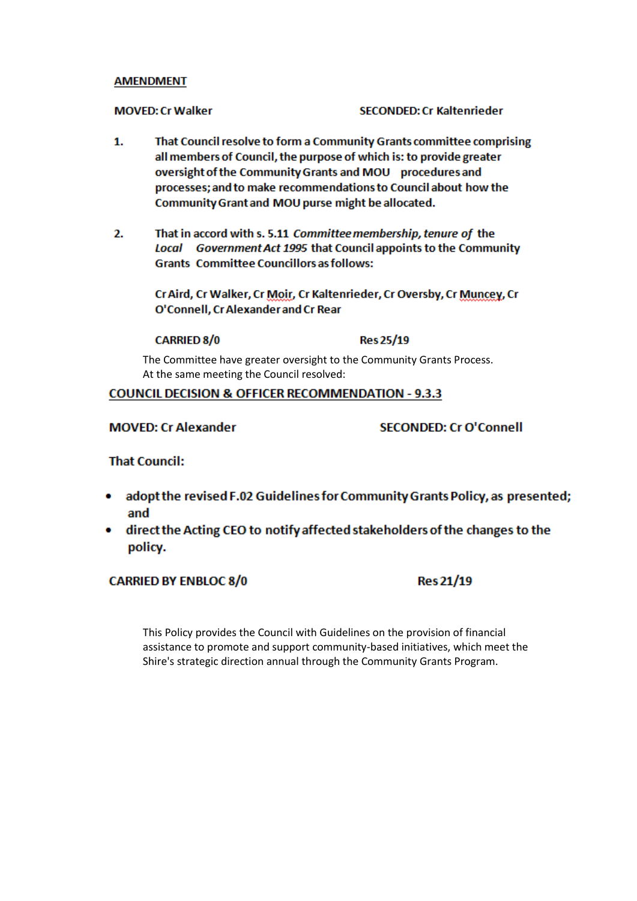# **AMENDMENT**

**MOVED: Cr Walker** 

**SECONDED: Cr Kaltenrieder** 

- 1. That Council resolve to form a Community Grants committee comprising all members of Council, the purpose of which is: to provide greater oversight of the Community Grants and MOU procedures and processes; and to make recommendations to Council about how the Community Grant and MOU purse might be allocated.
- 2. That in accord with s. 5.11 Committee membership, tenure of the Local Government Act 1995 that Council appoints to the Community **Grants Committee Councillors as follows:**

Cr Aird, Cr Walker, Cr Moir, Cr Kaltenrieder, Cr Oversby, Cr Muncey, Cr O'Connell, Cr Alexander and Cr Rear

# **CARRIED 8/0**

**Res 25/19** 

The Committee have greater oversight to the Community Grants Process. At the same meeting the Council resolved:

# **COUNCIL DECISION & OFFICER RECOMMENDATION - 9.3.3**

# **MOVED: Cr Alexander**

**SECONDED: Cr O'Connell** 

# **That Council:**

- adopt the revised F.02 Guidelines for Community Grants Policy, as presented; and
- direct the Acting CEO to notify affected stakeholders of the changes to the policy.

# **CARRIED BY ENBLOC 8/0**

**Res 21/19** 

This Policy provides the Council with Guidelines on the provision of financial assistance to promote and support community-based initiatives, which meet the Shire's strategic direction annual through the Community Grants Program.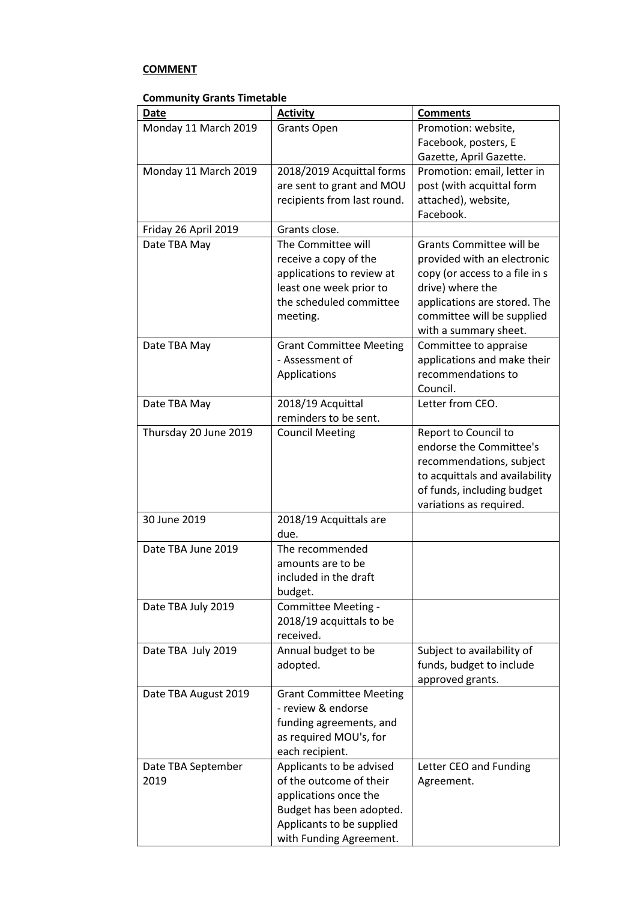# **COMMENT**

# **Community Grants Timetable**

| <b>Date</b>                | <b>Activity</b>                                     | <b>Comments</b>                |
|----------------------------|-----------------------------------------------------|--------------------------------|
| Monday 11 March 2019       | <b>Grants Open</b>                                  | Promotion: website,            |
|                            |                                                     | Facebook, posters, E           |
|                            |                                                     | Gazette, April Gazette.        |
| Monday 11 March 2019       | 2018/2019 Acquittal forms                           | Promotion: email, letter in    |
|                            | are sent to grant and MOU                           | post (with acquittal form      |
|                            | recipients from last round.                         | attached), website,            |
|                            |                                                     | Facebook.                      |
| Friday 26 April 2019       | Grants close.                                       |                                |
| Date TBA May               | The Committee will                                  | Grants Committee will be       |
|                            | receive a copy of the                               | provided with an electronic    |
|                            | applications to review at                           | copy (or access to a file in s |
|                            | least one week prior to                             | drive) where the               |
|                            | the scheduled committee                             | applications are stored. The   |
|                            | meeting.                                            | committee will be supplied     |
|                            |                                                     | with a summary sheet.          |
| Date TBA May               | <b>Grant Committee Meeting</b>                      | Committee to appraise          |
|                            | - Assessment of                                     | applications and make their    |
|                            | Applications                                        | recommendations to<br>Council. |
| Date TBA May               | 2018/19 Acquittal                                   | Letter from CEO.               |
|                            | reminders to be sent.                               |                                |
| Thursday 20 June 2019      | <b>Council Meeting</b>                              | Report to Council to           |
|                            |                                                     | endorse the Committee's        |
|                            |                                                     | recommendations, subject       |
|                            |                                                     | to acquittals and availability |
|                            |                                                     | of funds, including budget     |
|                            |                                                     | variations as required.        |
| 30 June 2019               | 2018/19 Acquittals are                              |                                |
|                            | due.                                                |                                |
| Date TBA June 2019         | The recommended                                     |                                |
|                            | amounts are to be                                   |                                |
|                            | included in the draft                               |                                |
|                            | budget.                                             |                                |
| Date TBA July 2019         | Committee Meeting -                                 |                                |
|                            | 2018/19 acquittals to be                            |                                |
|                            | received.                                           |                                |
| Date TBA July 2019         | Annual budget to be                                 | Subject to availability of     |
|                            | adopted.                                            | funds, budget to include       |
|                            |                                                     | approved grants.               |
| Date TBA August 2019       | <b>Grant Committee Meeting</b>                      |                                |
|                            | - review & endorse                                  |                                |
|                            | funding agreements, and                             |                                |
|                            | as required MOU's, for                              |                                |
|                            | each recipient.                                     |                                |
| Date TBA September<br>2019 | Applicants to be advised<br>of the outcome of their | Letter CEO and Funding         |
|                            | applications once the                               | Agreement.                     |
|                            | Budget has been adopted.                            |                                |
|                            | Applicants to be supplied                           |                                |
|                            | with Funding Agreement.                             |                                |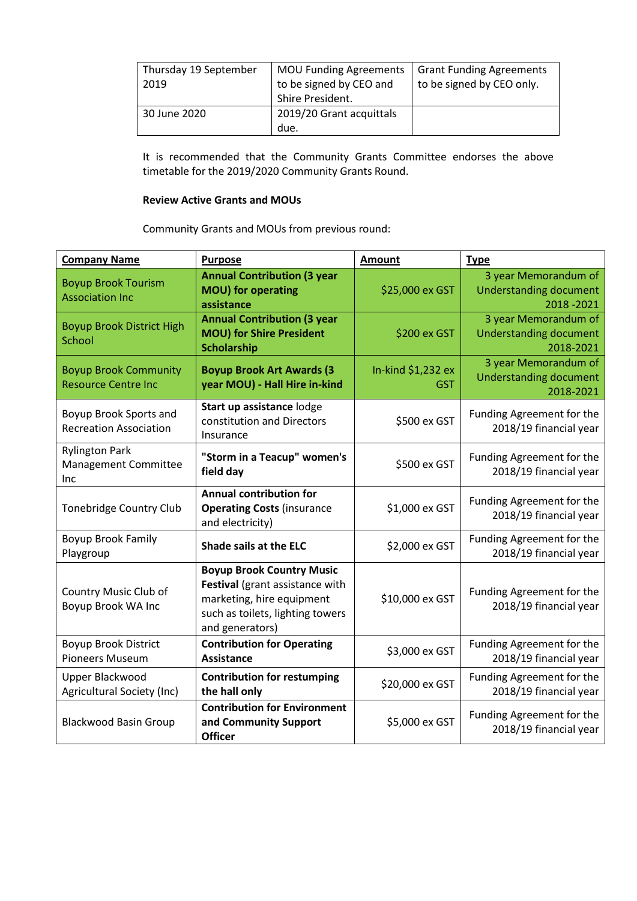| Thursday 19 September<br>2019 | <b>MOU Funding Agreements</b><br>to be signed by CEO and<br>Shire President. | <b>Grant Funding Agreements</b><br>to be signed by CEO only. |
|-------------------------------|------------------------------------------------------------------------------|--------------------------------------------------------------|
| 30 June 2020                  | 2019/20 Grant acquittals<br>due.                                             |                                                              |

It is recommended that the Community Grants Committee endorses the above timetable for the 2019/2020 Community Grants Round.

# **Review Active Grants and MOUs**

Community Grants and MOUs from previous round:

| <b>Company Name</b>                                         | <b>Purpose</b>                                                                                                                                          | <b>Amount</b>             | <b>Type</b>                                                        |
|-------------------------------------------------------------|---------------------------------------------------------------------------------------------------------------------------------------------------------|---------------------------|--------------------------------------------------------------------|
| <b>Boyup Brook Tourism</b><br><b>Association Inc</b>        | <b>Annual Contribution (3 year</b><br><b>MOU)</b> for operating<br>assistance                                                                           | \$25,000 ex GST           | 3 year Memorandum of<br><b>Understanding document</b><br>2018-2021 |
| <b>Boyup Brook District High</b><br>School                  | <b>Annual Contribution (3 year</b><br><b>MOU) for Shire President</b><br>Scholarship                                                                    | \$200 ex GST              | 3 year Memorandum of<br><b>Understanding document</b><br>2018-2021 |
| <b>Boyup Brook Community</b><br><b>Resource Centre Inc</b>  | <b>Boyup Brook Art Awards (3)</b><br>year MOU) - Hall Hire in-kind                                                                                      | In-kind \$1,232 ex<br>GST | 3 year Memorandum of<br><b>Understanding document</b><br>2018-2021 |
| Boyup Brook Sports and<br><b>Recreation Association</b>     | Start up assistance lodge<br>constitution and Directors<br>Insurance                                                                                    | \$500 ex GST              | Funding Agreement for the<br>2018/19 financial year                |
| <b>Rylington Park</b><br>Management Committee<br><b>Inc</b> | "Storm in a Teacup" women's<br>field day                                                                                                                | \$500 ex GST              | Funding Agreement for the<br>2018/19 financial year                |
| <b>Tonebridge Country Club</b>                              | <b>Annual contribution for</b><br><b>Operating Costs (insurance</b><br>and electricity)                                                                 | \$1,000 ex GST            | Funding Agreement for the<br>2018/19 financial year                |
| <b>Boyup Brook Family</b><br>Playgroup                      | Shade sails at the ELC                                                                                                                                  | \$2,000 ex GST            | Funding Agreement for the<br>2018/19 financial year                |
| Country Music Club of<br>Boyup Brook WA Inc                 | <b>Boyup Brook Country Music</b><br>Festival (grant assistance with<br>marketing, hire equipment<br>such as toilets, lighting towers<br>and generators) | \$10,000 ex GST           | Funding Agreement for the<br>2018/19 financial year                |
| <b>Boyup Brook District</b><br><b>Pioneers Museum</b>       | <b>Contribution for Operating</b><br><b>Assistance</b>                                                                                                  | \$3,000 ex GST            | Funding Agreement for the<br>2018/19 financial year                |
| Upper Blackwood<br>Agricultural Society (Inc)               | <b>Contribution for restumping</b><br>the hall only                                                                                                     | \$20,000 ex GST           | Funding Agreement for the<br>2018/19 financial year                |
| <b>Blackwood Basin Group</b>                                | <b>Contribution for Environment</b><br>and Community Support<br><b>Officer</b>                                                                          | \$5,000 ex GST            | Funding Agreement for the<br>2018/19 financial year                |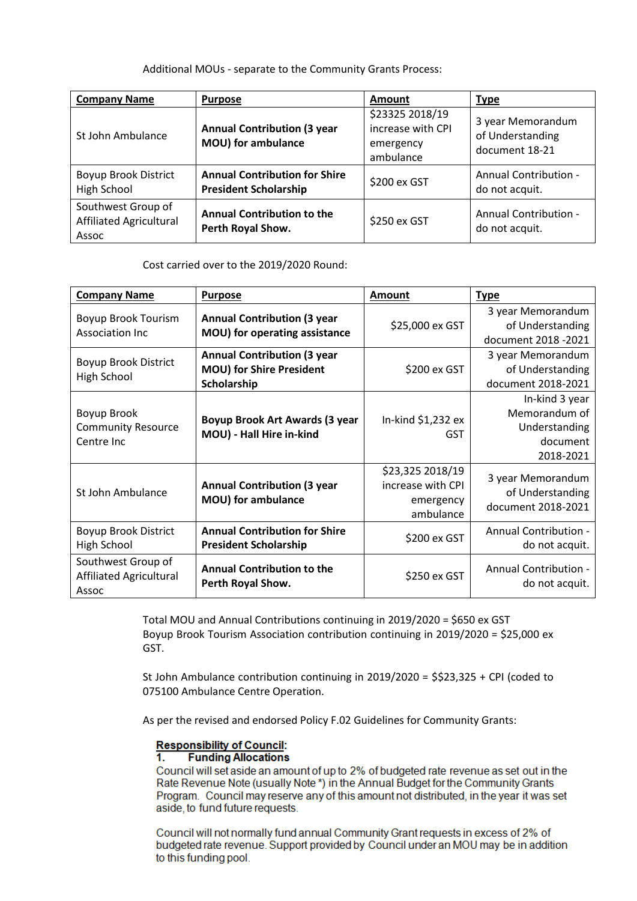# Additional MOUs - separate to the Community Grants Process:

| <b>Company Name</b>                                           | <b>Purpose</b>                                                       | Amount                                                         | <b>Type</b>                                             |
|---------------------------------------------------------------|----------------------------------------------------------------------|----------------------------------------------------------------|---------------------------------------------------------|
| St John Ambulance                                             | <b>Annual Contribution (3 year</b><br>MOU) for ambulance             | \$23325 2018/19<br>increase with CPI<br>emergency<br>ambulance | 3 year Memorandum<br>of Understanding<br>document 18-21 |
| <b>Boyup Brook District</b><br>High School                    | <b>Annual Contribution for Shire</b><br><b>President Scholarship</b> | \$200 ex GST                                                   | Annual Contribution -<br>do not acquit.                 |
| Southwest Group of<br><b>Affiliated Agricultural</b><br>Assoc | <b>Annual Contribution to the</b><br>Perth Royal Show.               | \$250 ex GST                                                   | Annual Contribution -<br>do not acquit.                 |

Cost carried over to the 2019/2020 Round:

| <b>Company Name</b>                                    | <b>Purpose</b>                                                                       | <b>Amount</b>                                                   | <b>Type</b>                                                               |
|--------------------------------------------------------|--------------------------------------------------------------------------------------|-----------------------------------------------------------------|---------------------------------------------------------------------------|
| <b>Boyup Brook Tourism</b><br><b>Association Inc</b>   | <b>Annual Contribution (3 year</b><br>MOU) for operating assistance                  | \$25,000 ex GST                                                 | 3 year Memorandum<br>of Understanding<br>document 2018 - 2021             |
| <b>Boyup Brook District</b><br><b>High School</b>      | <b>Annual Contribution (3 year</b><br><b>MOU) for Shire President</b><br>Scholarship | \$200 ex GST                                                    | 3 year Memorandum<br>of Understanding<br>document 2018-2021               |
| Boyup Brook<br><b>Community Resource</b><br>Centre Inc | Boyup Brook Art Awards (3 year<br>MOU) - Hall Hire in-kind                           | In-kind \$1,232 ex<br>GST                                       | In-kind 3 year<br>Memorandum of<br>Understanding<br>document<br>2018-2021 |
| St John Ambulance                                      | <b>Annual Contribution (3 year</b><br>MOU) for ambulance                             | \$23,325 2018/19<br>increase with CPI<br>emergency<br>ambulance | 3 year Memorandum<br>of Understanding<br>document 2018-2021               |
| <b>Boyup Brook District</b><br>High School             | <b>Annual Contribution for Shire</b><br><b>President Scholarship</b>                 | \$200 ex GST                                                    | Annual Contribution -<br>do not acquit.                                   |
| Southwest Group of<br>Affiliated Agricultural<br>Assoc | <b>Annual Contribution to the</b><br>Perth Royal Show.                               | \$250 ex GST                                                    | Annual Contribution -<br>do not acquit.                                   |

Total MOU and Annual Contributions continuing in 2019/2020 = \$650 ex GST Boyup Brook Tourism Association contribution continuing in 2019/2020 = \$25,000 ex GST.

St John Ambulance contribution continuing in 2019/2020 = \$\$23,325 + CPI (coded to 075100 Ambulance Centre Operation.

As per the revised and endorsed Policy F.02 Guidelines for Community Grants:

# **Responsibility of Council:**

#### T. **Funding Allocations**

Council will set aside an amount of up to 2% of budgeted rate revenue as set out in the Rate Revenue Note (usually Note \*) in the Annual Budget for the Community Grants Program. Council may reserve any of this amount not distributed, in the year it was set aside, to fund future requests.

Council will not normally fund annual Community Grant requests in excess of 2% of budgeted rate revenue. Support provided by Council under an MOU may be in addition to this funding pool.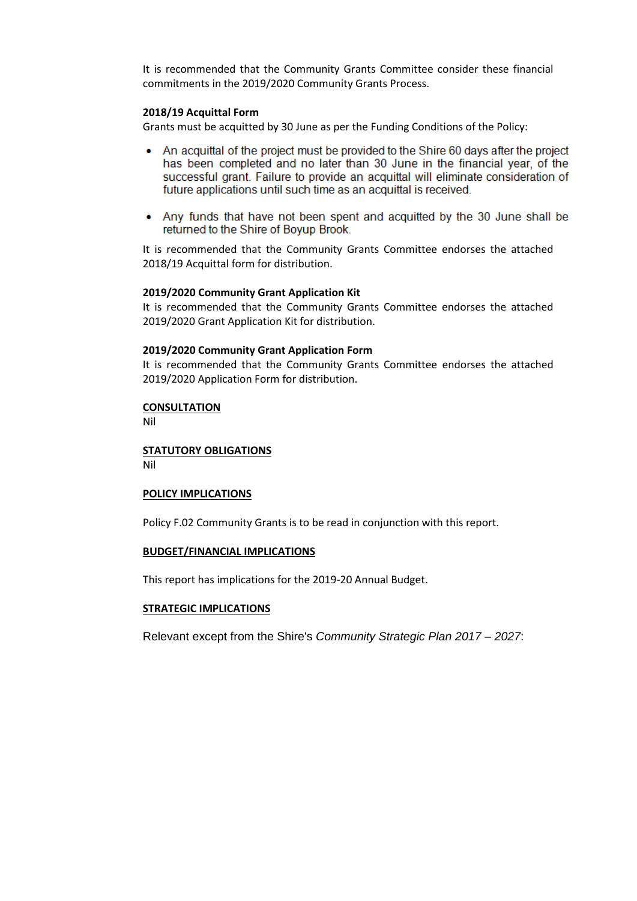It is recommended that the Community Grants Committee consider these financial commitments in the 2019/2020 Community Grants Process.

# **2018/19 Acquittal Form**

Grants must be acquitted by 30 June as per the Funding Conditions of the Policy:

- An acquittal of the project must be provided to the Shire 60 days after the project has been completed and no later than 30 June in the financial year, of the successful grant. Failure to provide an acquittal will eliminate consideration of future applications until such time as an acquittal is received.
- Any funds that have not been spent and acquitted by the 30 June shall be returned to the Shire of Boyup Brook.

It is recommended that the Community Grants Committee endorses the attached 2018/19 Acquittal form for distribution.

## **2019/2020 Community Grant Application Kit**

It is recommended that the Community Grants Committee endorses the attached 2019/2020 Grant Application Kit for distribution.

# **2019/2020 Community Grant Application Form**

It is recommended that the Community Grants Committee endorses the attached 2019/2020 Application Form for distribution.

### **CONSULTATION**

Nil

# **STATUTORY OBLIGATIONS**

Nil

## **POLICY IMPLICATIONS**

Policy F.02 Community Grants is to be read in conjunction with this report.

### **BUDGET/FINANCIAL IMPLICATIONS**

This report has implications for the 2019-20 Annual Budget.

### **STRATEGIC IMPLICATIONS**

Relevant except from the Shire's *Community Strategic Plan 2017 – 2027*: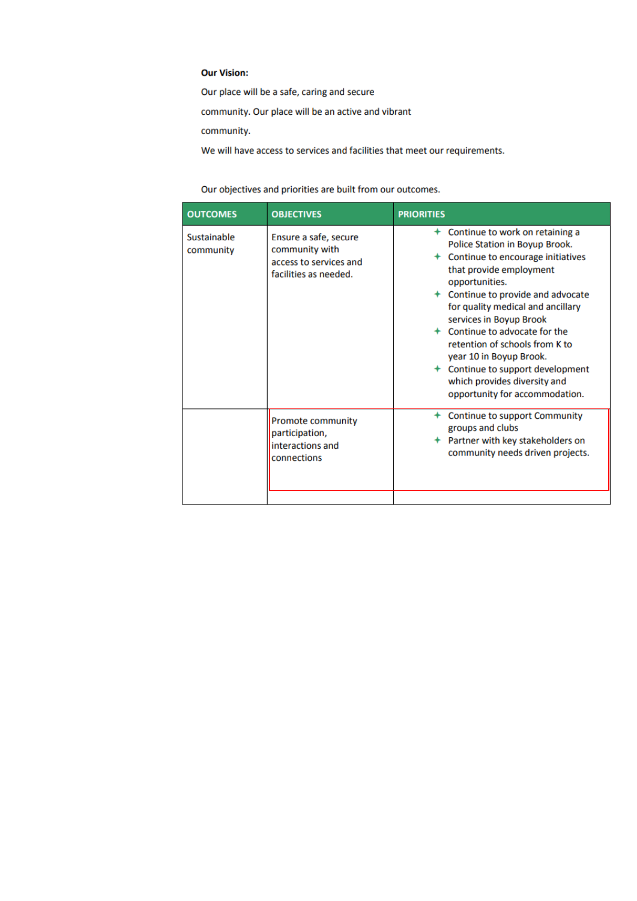## **Our Vision:**

Our place will be a safe, caring and secure

community. Our place will be an active and vibrant

community.

We will have access to services and facilities that meet our requirements.

Our objectives and priorities are built from our outcomes.

| <b>OUTCOMES</b>          | <b>OBJECTIVES</b>                                                                          | <b>PRIORITIES</b>                                                                                                                                                                                                                                                                                                                                                                                                                                                 |
|--------------------------|--------------------------------------------------------------------------------------------|-------------------------------------------------------------------------------------------------------------------------------------------------------------------------------------------------------------------------------------------------------------------------------------------------------------------------------------------------------------------------------------------------------------------------------------------------------------------|
| Sustainable<br>community | Ensure a safe, secure<br>community with<br>access to services and<br>facilities as needed. | + Continue to work on retaining a<br>Police Station in Boyup Brook.<br>Continue to encourage initiatives<br>that provide employment<br>opportunities.<br>+ Continue to provide and advocate<br>for quality medical and ancillary<br>services in Boyup Brook<br>+ Continue to advocate for the<br>retention of schools from K to<br>year 10 in Boyup Brook.<br>+ Continue to support development<br>which provides diversity and<br>opportunity for accommodation. |
|                          | <b>Promote community</b><br>participation,<br>interactions and<br>connections              | Continue to support Community<br>groups and clubs<br>← Partner with key stakeholders on<br>community needs driven projects.                                                                                                                                                                                                                                                                                                                                       |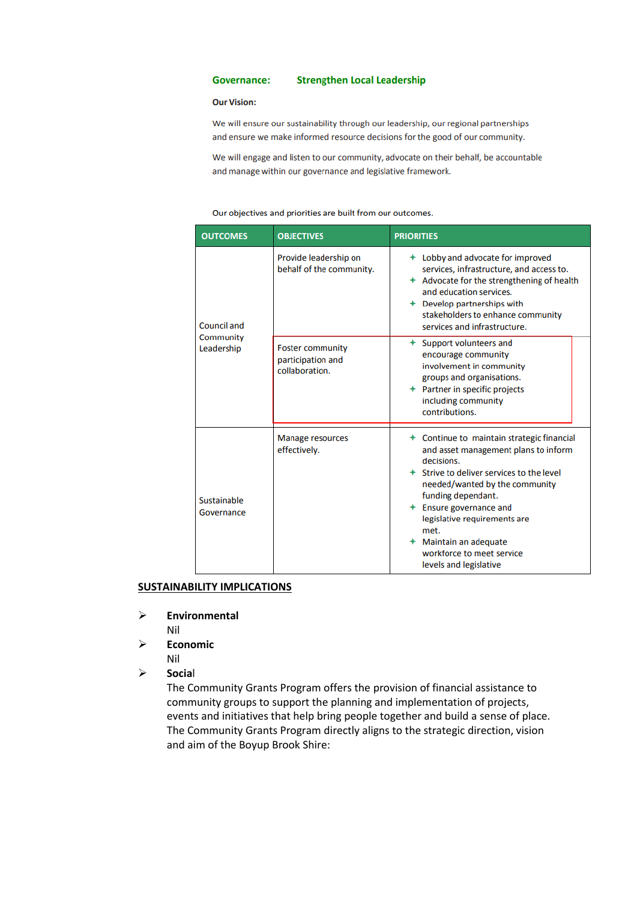#### **Governance: Strengthen Local Leadership**

#### **Our Vision:**

We will ensure our sustainability through our leadership, our regional partnerships and ensure we make informed resource decisions for the good of our community.

We will engage and listen to our community, advocate on their behalf, be accountable and manage within our governance and legislative framework.

#### Our objectives and priorities are built from our outcomes.

| <b>OUTCOMES</b>           | <b>OBJECTIVES</b>                                              | <b>PRIORITIES</b>                                                                                                                                                                                                                                                                                                                                           |
|---------------------------|----------------------------------------------------------------|-------------------------------------------------------------------------------------------------------------------------------------------------------------------------------------------------------------------------------------------------------------------------------------------------------------------------------------------------------------|
| Council and               | Provide leadership on<br>behalf of the community.              | + Lobby and advocate for improved<br>services, infrastructure, and access to.<br>$+$ Advocate for the strengthening of health<br>and education services.<br>$+$ Develop partnerships with<br>stakeholders to enhance community<br>services and infrastructure.                                                                                              |
| Community<br>Leadership   | <b>Foster community</b><br>participation and<br>collaboration. | + Support volunteers and<br>encourage community<br>involvement in community<br>groups and organisations.<br>+ Partner in specific projects<br>including community<br>contributions.                                                                                                                                                                         |
| Sustainable<br>Governance | <b>Manage resources</b><br>effectively.                        | + Continue to maintain strategic financial<br>and asset management plans to inform<br>decisions.<br>+ Strive to deliver services to the level<br>needed/wanted by the community<br>funding dependant.<br>$+$ Ensure governance and<br>legislative requirements are<br>met.<br>+ Maintain an adequate<br>workforce to meet service<br>levels and legislative |

## **SUSTAINABILITY IMPLICATIONS**

**Environmental**

Nil

- **Economic** Nil
- **Socia**l

The Community Grants Program offers the provision of financial assistance to community groups to support the planning and implementation of projects, events and initiatives that help bring people together and build a sense of place. The Community Grants Program directly aligns to the strategic direction, vision and aim of the Boyup Brook Shire: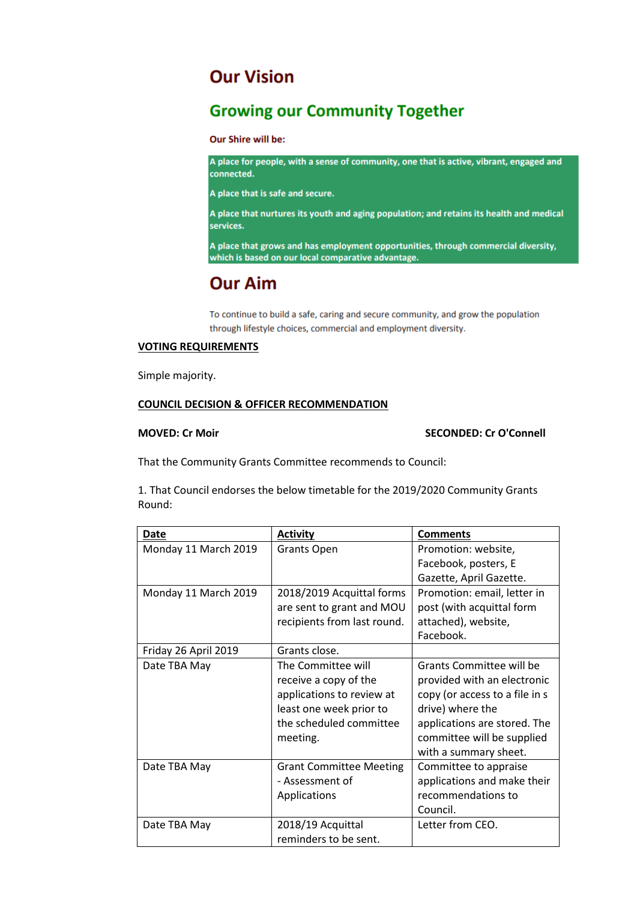# **Our Vision**

# **Growing our Community Together**

Our Shire will be:

A place for people, with a sense of community, one that is active, vibrant, engaged and connected.

A place that is safe and secure.

A place that nurtures its youth and aging population; and retains its health and medical services.

A place that grows and has employment opportunities, through commercial diversity, which is based on our local comparative advantage.

# **Our Aim**

To continue to build a safe, caring and secure community, and grow the population through lifestyle choices, commercial and employment diversity.

# **VOTING REQUIREMENTS**

Simple majority.

# **COUNCIL DECISION & OFFICER RECOMMENDATION**

# **MOVED: Cr Moir SECONDED: Cr O'Connell**

That the Community Grants Committee recommends to Council:

1. That Council endorses the below timetable for the 2019/2020 Community Grants Round:

| Date                 | <b>Activity</b>                | <b>Comments</b>                |
|----------------------|--------------------------------|--------------------------------|
| Monday 11 March 2019 | <b>Grants Open</b>             | Promotion: website,            |
|                      |                                | Facebook, posters, E           |
|                      |                                | Gazette, April Gazette.        |
| Monday 11 March 2019 | 2018/2019 Acquittal forms      | Promotion: email, letter in    |
|                      | are sent to grant and MOU      | post (with acquittal form      |
|                      | recipients from last round.    | attached), website,            |
|                      |                                | Facebook.                      |
| Friday 26 April 2019 | Grants close.                  |                                |
| Date TBA May         | The Committee will             | Grants Committee will be       |
|                      | receive a copy of the          | provided with an electronic    |
|                      | applications to review at      | copy (or access to a file in s |
|                      | least one week prior to        | drive) where the               |
|                      | the scheduled committee        | applications are stored. The   |
|                      | meeting.                       | committee will be supplied     |
|                      |                                | with a summary sheet.          |
| Date TBA May         | <b>Grant Committee Meeting</b> | Committee to appraise          |
|                      | - Assessment of                | applications and make their    |
|                      | Applications                   | recommendations to             |
|                      |                                | Council.                       |
| Date TBA May         | 2018/19 Acquittal              | Letter from CEO.               |
|                      | reminders to be sent.          |                                |